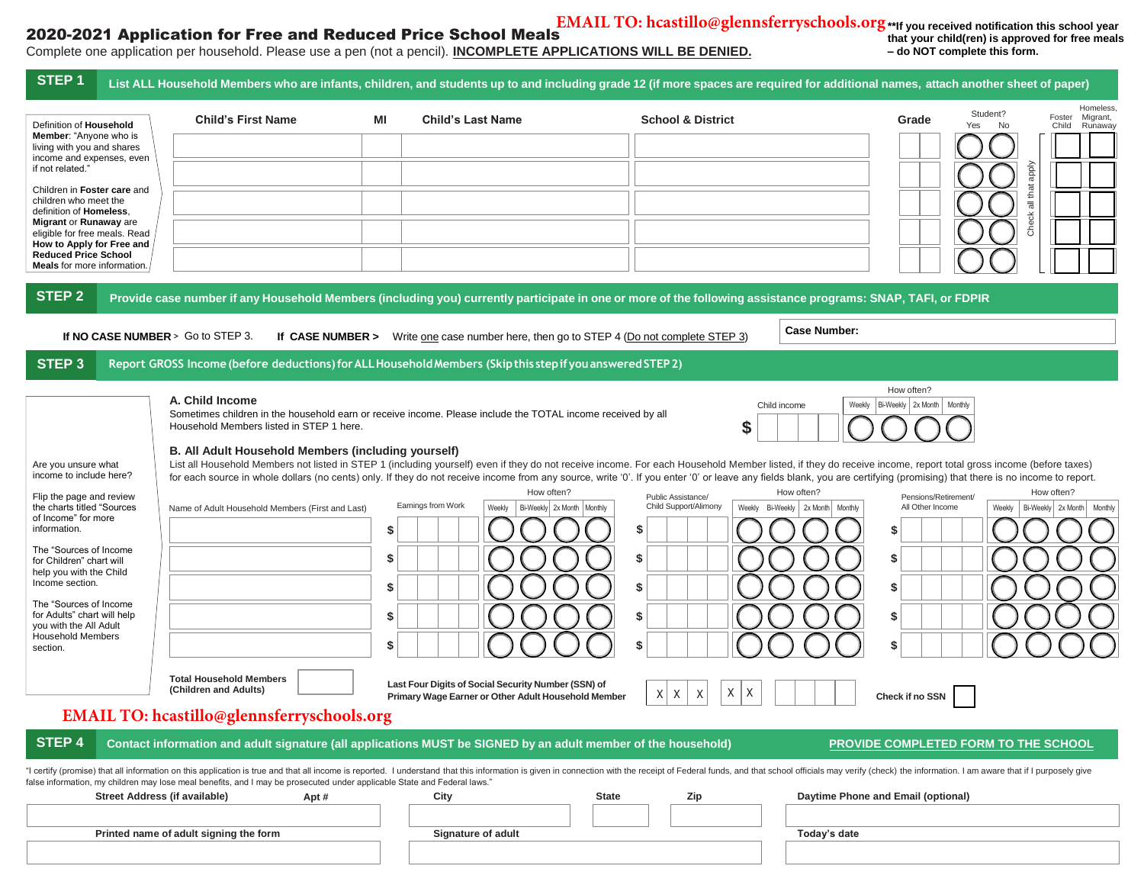## 2020-2021 Application for Free and Reduced Price School Meals

**EMAIL TO: hcastillo@glennsferryschools.org**

## Complete one application per household. Please use a pen (not a pencil). **INCOMPLETE APPLICATIONS WILL BE DENIED.**

**\*\*If you received notification this school year that your child(ren) is approved for free meals – do NOT complete this form.**

| STEP <sub>1</sub>                                                                                                                                                                                                                                                                                                                                                                       |                                                                                                                                                                                                                                                                                                                                                                                                       |                                                                                                                                                                                       |                                                                                                                                                | List ALL Household Members who are infants, children, and students up to and including grade 12 (if more spaces are required for additional names, attach another sheet of paper)                                                                                                                                                                                                                                                                                                                                                                                                                                                                                                                                     |
|-----------------------------------------------------------------------------------------------------------------------------------------------------------------------------------------------------------------------------------------------------------------------------------------------------------------------------------------------------------------------------------------|-------------------------------------------------------------------------------------------------------------------------------------------------------------------------------------------------------------------------------------------------------------------------------------------------------------------------------------------------------------------------------------------------------|---------------------------------------------------------------------------------------------------------------------------------------------------------------------------------------|------------------------------------------------------------------------------------------------------------------------------------------------|-----------------------------------------------------------------------------------------------------------------------------------------------------------------------------------------------------------------------------------------------------------------------------------------------------------------------------------------------------------------------------------------------------------------------------------------------------------------------------------------------------------------------------------------------------------------------------------------------------------------------------------------------------------------------------------------------------------------------|
| Definition of Household<br><b>Member:</b> "Anyone who is<br>living with you and shares<br>income and expenses, even<br>if not related.'<br>Children in Foster care and<br>children who meet the<br>definition of Homeless.<br>Migrant or Runaway are<br>eligible for free meals. Read<br>How to Apply for Free and<br><b>Reduced Price School</b><br><b>Meals</b> for more information. | <b>Child's First Name</b>                                                                                                                                                                                                                                                                                                                                                                             | ΜI<br><b>Child's Last Name</b>                                                                                                                                                        | <b>School &amp; District</b>                                                                                                                   | Homeless,<br>Student?<br>Migrant,<br>Foster<br>Grade<br>Yes<br>No<br>Runaway<br>Child<br>dode<br>Check all that                                                                                                                                                                                                                                                                                                                                                                                                                                                                                                                                                                                                       |
| <b>STEP 2</b><br>If NO CASE NUMBER > Go to STEP 3.                                                                                                                                                                                                                                                                                                                                      |                                                                                                                                                                                                                                                                                                                                                                                                       | If CASE NUMBER > Write one case number here, then go to STEP 4 (Do not complete STEP 3)                                                                                               |                                                                                                                                                | Provide case number if any Household Members (including you) currently participate in one or more of the following assistance programs: SNAP, TAFI, or FDPIR<br><b>Case Number:</b>                                                                                                                                                                                                                                                                                                                                                                                                                                                                                                                                   |
| STEP <sub>3</sub>                                                                                                                                                                                                                                                                                                                                                                       | Report GROSS Income (before deductions) for ALL Household Members (Skip this step if you answered STEP 2)                                                                                                                                                                                                                                                                                             |                                                                                                                                                                                       |                                                                                                                                                |                                                                                                                                                                                                                                                                                                                                                                                                                                                                                                                                                                                                                                                                                                                       |
| Are you unsure what<br>income to include here?<br>Flip the page and review<br>the charts titled "Sources<br>of Income" for more<br>information.<br>The "Sources of Income<br>for Children" chart will<br>help you with the Child<br>Income section.<br>The "Sources of Income<br>for Adults" chart will help<br>you with the All Adult<br><b>Household Members</b><br>section.          | A. Child Income<br>Sometimes children in the household earn or receive income. Please include the TOTAL income received by all<br>Household Members listed in STEP 1 here.<br>B. All Adult Household Members (including yourself)<br>Name of Adult Household Members (First and Last)<br><b>Total Household Members</b><br>(Children and Adults)<br><b>EMAIL TO:</b> hcastillo@glennsferryschools.org | How often?<br>Earnings from Work<br>Weekly<br>\$<br>S<br>\$<br>\$<br>\$<br>Last Four Digits of Social Security Number (SSN) of<br>Primary Wage Earner or Other Adult Household Member | S<br>Public Assistance/<br>Child Support/Alimony<br>Bi-Weekly 2x Month   Monthly<br>\$<br>\$<br>\$<br>\$<br>\$<br>X<br>Χ<br>$\times$<br>X<br>X | How often?<br>Weekly   Bi-Weekly   2x Month   Monthly<br>Child income<br>List all Household Members not listed in STEP 1 (including yourself) even if they do not receive income. For each Household Member listed, if they do receive income, report total gross income (before taxes)<br>for each source in whole dollars (no cents) only. If they do not receive income from any source, write '0'. If you enter '0' or leave any fields blank, you are certifying (promising) that there is no income to report.<br>How often?<br>How often?<br>Pensions/Retirement/<br>Weekly Bi-Weekly 2x Month   Monthly<br>All Other Income<br>Bi-Weekly 2x Month Monthly<br>Weekly<br>S<br>\$<br>\$<br>\$<br>Check if no SSN |
| <b>STEP 4</b>                                                                                                                                                                                                                                                                                                                                                                           | Contact information and adult signature (all applications MUST be SIGNED by an adult member of the household)                                                                                                                                                                                                                                                                                         |                                                                                                                                                                                       |                                                                                                                                                | PROVIDE COMPLETED FORM TO THE SCHOOL                                                                                                                                                                                                                                                                                                                                                                                                                                                                                                                                                                                                                                                                                  |
|                                                                                                                                                                                                                                                                                                                                                                                         | false information, my children may lose meal benefits, and I may be prosecuted under applicable State and Federal laws."                                                                                                                                                                                                                                                                              |                                                                                                                                                                                       |                                                                                                                                                | "I certify (promise) that all information on this application is true and that all income is reported. I understand that this information is given in connection with the receipt of Federal funds, and that school officials                                                                                                                                                                                                                                                                                                                                                                                                                                                                                         |
| Street Address (if available)                                                                                                                                                                                                                                                                                                                                                           | Apt#                                                                                                                                                                                                                                                                                                                                                                                                  | City                                                                                                                                                                                  | <b>State</b><br>Zip                                                                                                                            | Daytime Phone and Email (optional)                                                                                                                                                                                                                                                                                                                                                                                                                                                                                                                                                                                                                                                                                    |
|                                                                                                                                                                                                                                                                                                                                                                                         | Printed name of adult signing the form                                                                                                                                                                                                                                                                                                                                                                | <b>Signature of adult</b>                                                                                                                                                             |                                                                                                                                                | Today's date                                                                                                                                                                                                                                                                                                                                                                                                                                                                                                                                                                                                                                                                                                          |
|                                                                                                                                                                                                                                                                                                                                                                                         |                                                                                                                                                                                                                                                                                                                                                                                                       |                                                                                                                                                                                       |                                                                                                                                                |                                                                                                                                                                                                                                                                                                                                                                                                                                                                                                                                                                                                                                                                                                                       |